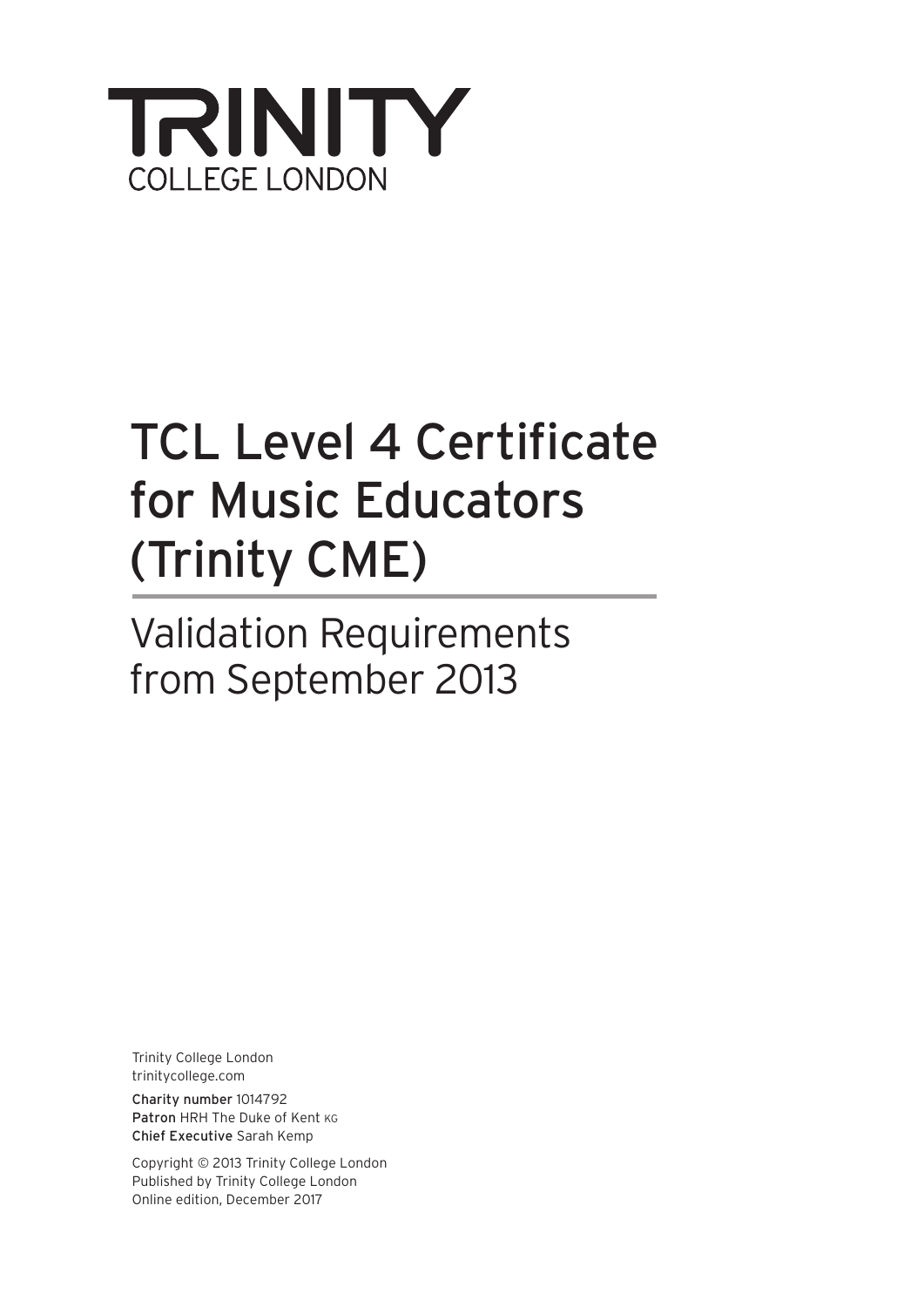

# TCL Level 4 Certificate for Music Educators (Trinity CME)

Validation Requirements from September 2013

Trinity College London trinitycollege.com

Charity number 1014792 Patron HRH The Duke of Kent KG Chief Executive Sarah Kemp

Copyright © 2013 Trinity College London Published by Trinity College London Online edition, December 2017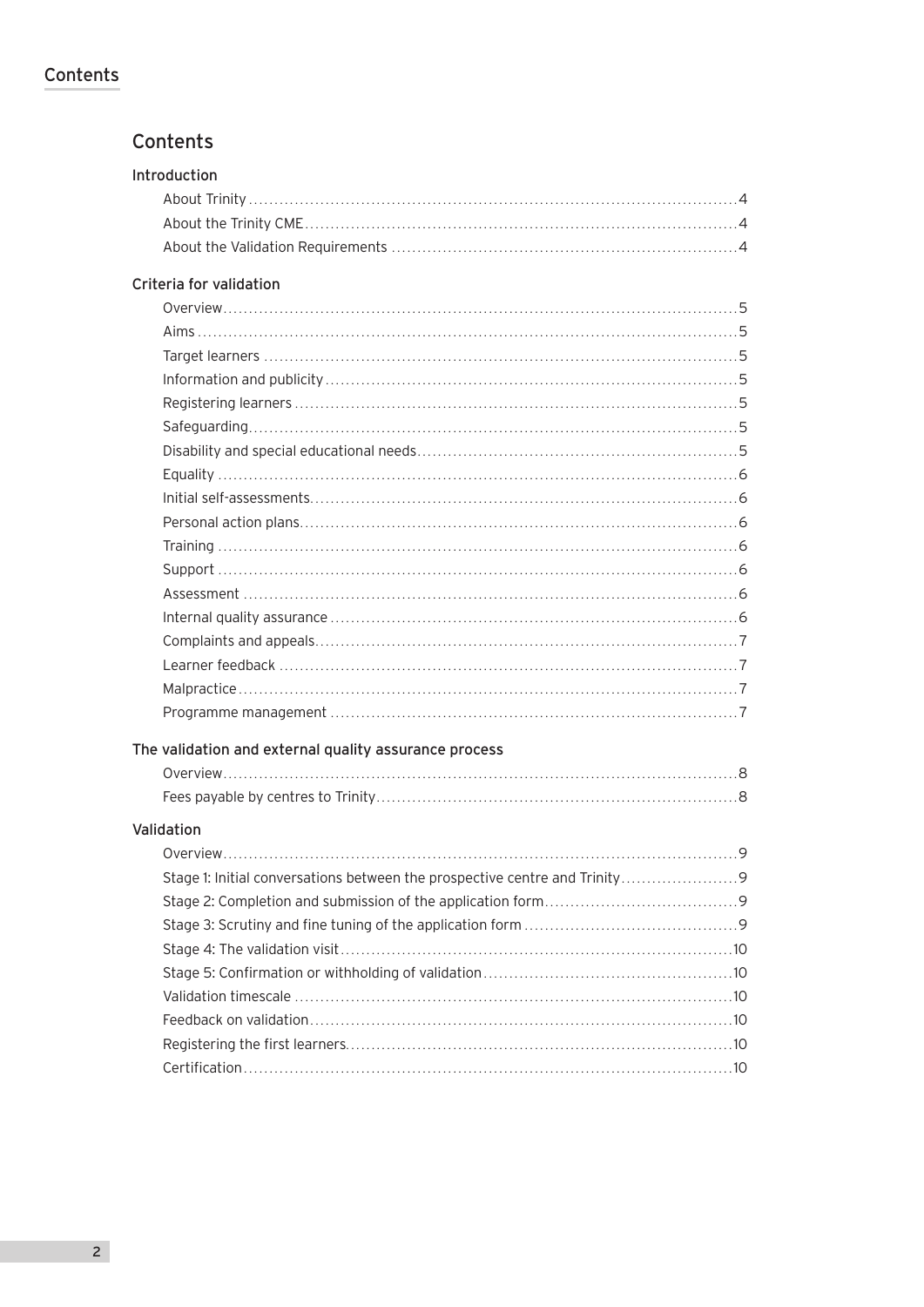# **Contents**

# **Contents**

| Introduction                                          |  |
|-------------------------------------------------------|--|
|                                                       |  |
|                                                       |  |
|                                                       |  |
| Criteria for validation                               |  |
|                                                       |  |
|                                                       |  |
|                                                       |  |
|                                                       |  |
|                                                       |  |
|                                                       |  |
|                                                       |  |
|                                                       |  |
|                                                       |  |
|                                                       |  |
|                                                       |  |
|                                                       |  |
|                                                       |  |
|                                                       |  |
|                                                       |  |
|                                                       |  |
|                                                       |  |
|                                                       |  |
| The validation and external quality assurance process |  |
|                                                       |  |
|                                                       |  |
| Validation                                            |  |
|                                                       |  |
|                                                       |  |
|                                                       |  |
|                                                       |  |
|                                                       |  |
|                                                       |  |
|                                                       |  |
|                                                       |  |
|                                                       |  |
|                                                       |  |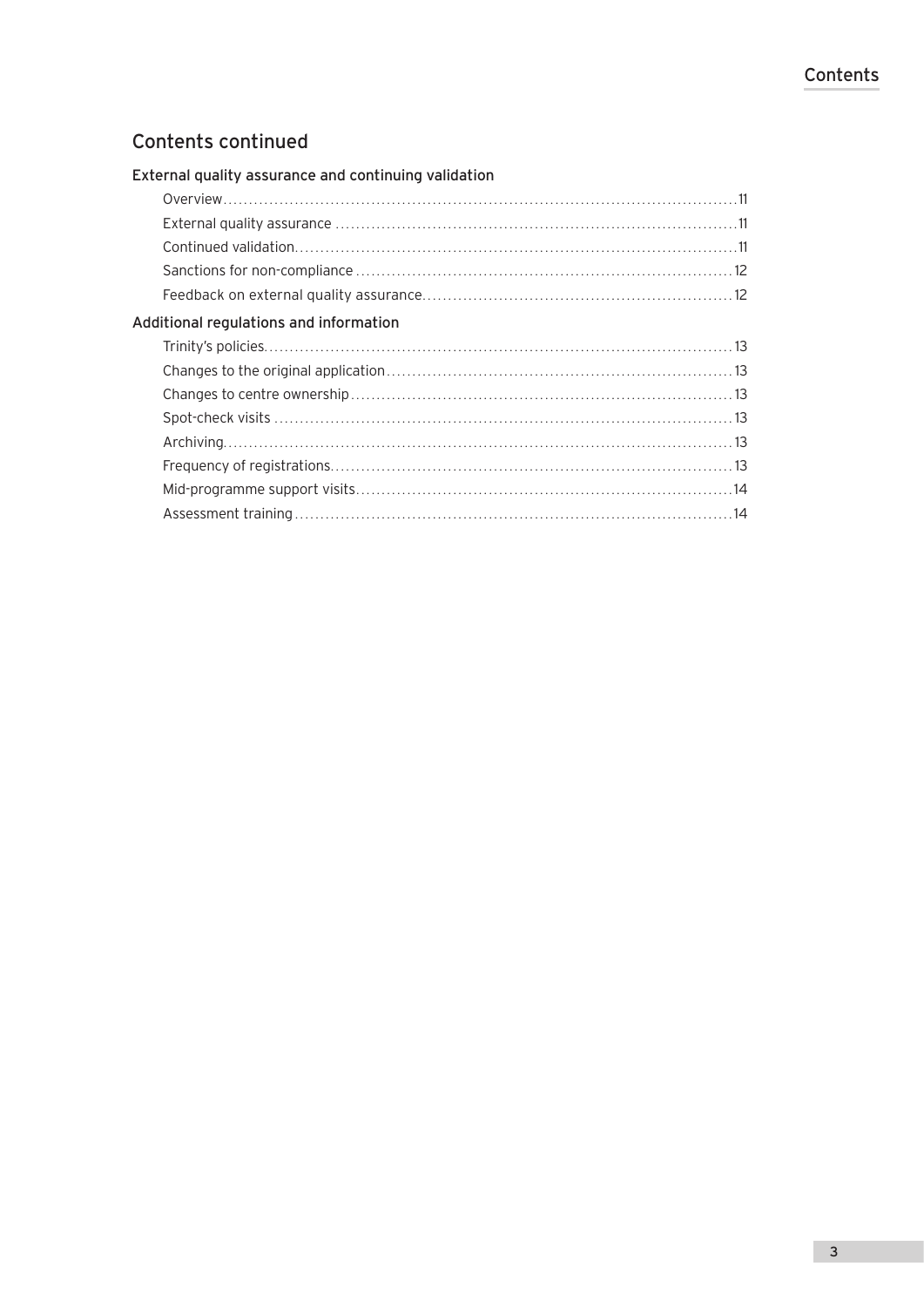# Contents continued

| External quality assurance and continuing validation |  |
|------------------------------------------------------|--|
|                                                      |  |
|                                                      |  |
|                                                      |  |
|                                                      |  |
|                                                      |  |
| Additional regulations and information               |  |
|                                                      |  |
|                                                      |  |
|                                                      |  |
|                                                      |  |
|                                                      |  |
|                                                      |  |
|                                                      |  |
|                                                      |  |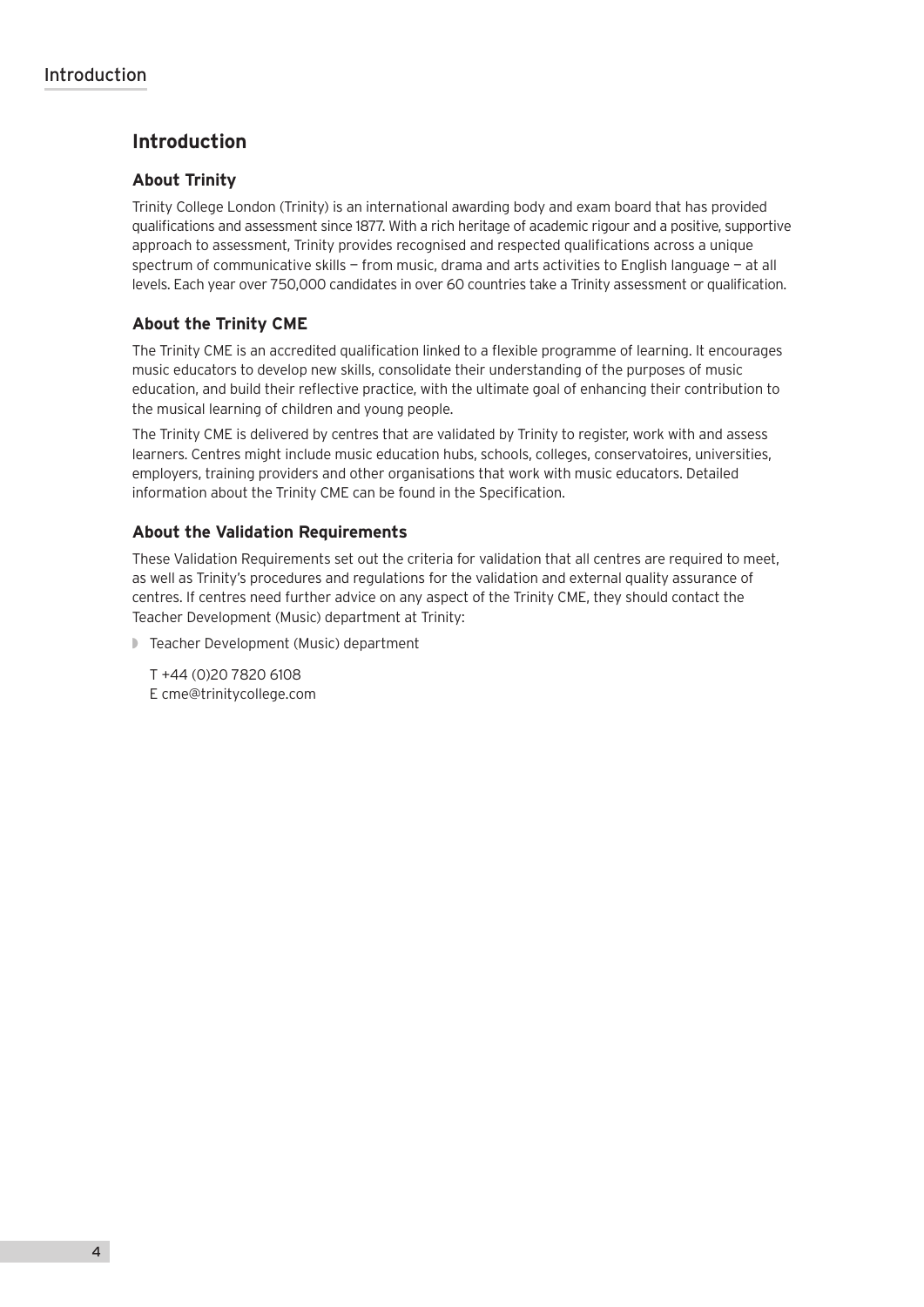# **Introduction**

# **About Trinity**

Trinity College London (Trinity) is an international awarding body and exam board that has provided qualifications and assessment since 1877. With a rich heritage of academic rigour and a positive, supportive approach to assessment, Trinity provides recognised and respected qualifications across a unique spectrum of communicative skills — from music, drama and arts activities to English language — at all levels. Each year over 750,000 candidates in over 60 countries take a Trinity assessment or qualification.

# **About the Trinity CME**

The Trinity CME is an accredited qualification linked to a flexible programme of learning. It encourages music educators to develop new skills, consolidate their understanding of the purposes of music education, and build their reflective practice, with the ultimate goal of enhancing their contribution to the musical learning of children and young people.

The Trinity CME is delivered by centres that are validated by Trinity to register, work with and assess learners. Centres might include music education hubs, schools, colleges, conservatoires, universities, employers, training providers and other organisations that work with music educators. Detailed information about the Trinity CME can be found in the Specification.

# **About the Validation Requirements**

These Validation Requirements set out the criteria for validation that all centres are required to meet, as well as Trinity's procedures and regulations for the validation and external quality assurance of centres. If centres need further advice on any aspect of the Trinity CME, they should contact the Teacher Development (Music) department at Trinity:

◗ Teacher Development (Music) department

T +44 (0)20 7820 6108 E cme@trinitycollege.com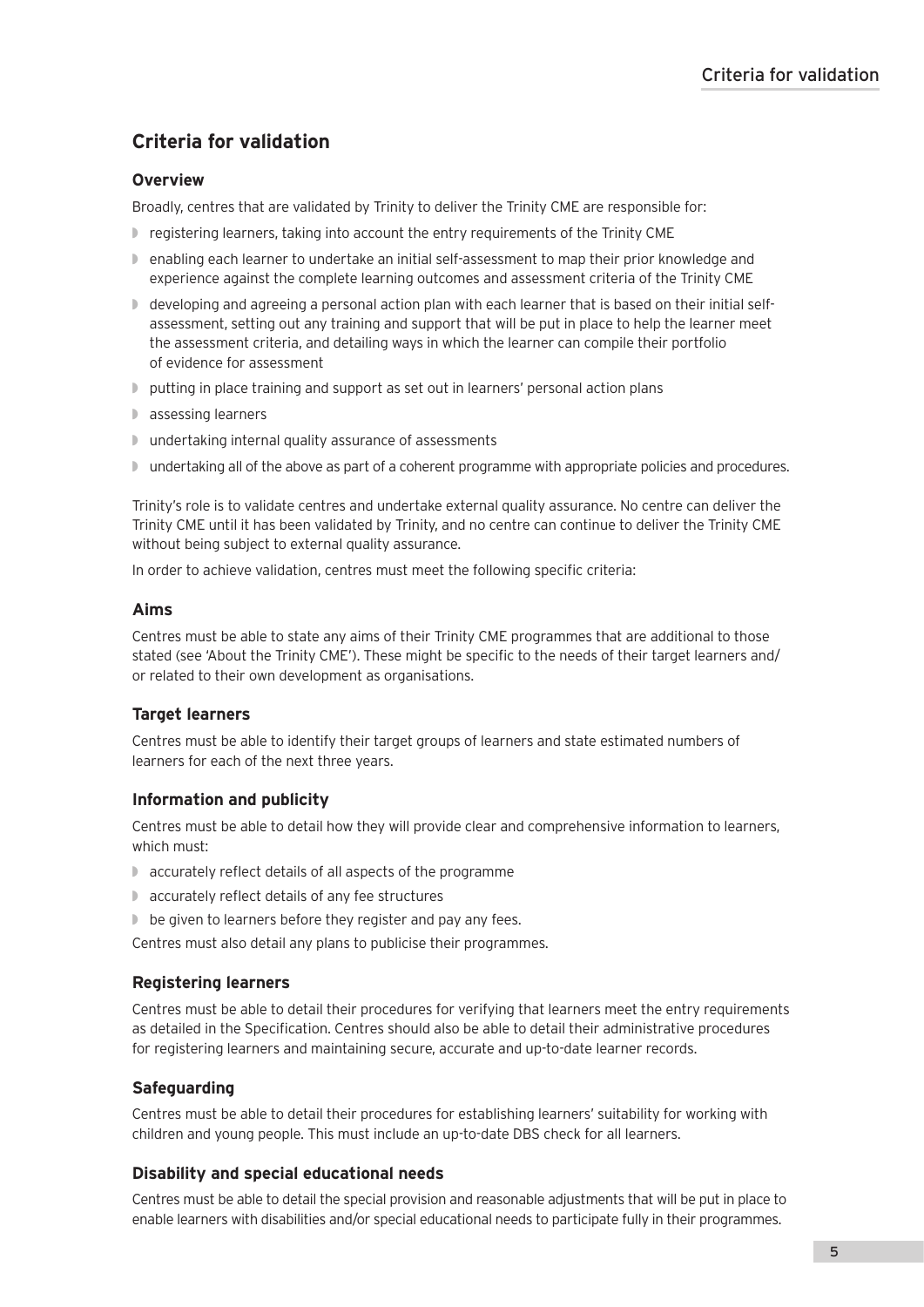# **Criteria for validation**

# **Overview**

Broadly, centres that are validated by Trinity to deliver the Trinity CME are responsible for:

- ◗ registering learners, taking into account the entry requirements of the Trinity CME
- ◗ enabling each learner to undertake an initial self-assessment to map their prior knowledge and experience against the complete learning outcomes and assessment criteria of the Trinity CME
- ◗ developing and agreeing a personal action plan with each learner that is based on their initial selfassessment, setting out any training and support that will be put in place to help the learner meet the assessment criteria, and detailing ways in which the learner can compile their portfolio of evidence for assessment
- ◗ putting in place training and support as set out in learners' personal action plans
- ◗ assessing learners
- ◗ undertaking internal quality assurance of assessments
- ◗ undertaking all of the above as part of a coherent programme with appropriate policies and procedures.

Trinity's role is to validate centres and undertake external quality assurance. No centre can deliver the Trinity CME until it has been validated by Trinity, and no centre can continue to deliver the Trinity CME without being subject to external quality assurance.

In order to achieve validation, centres must meet the following specific criteria:

## **Aims**

Centres must be able to state any aims of their Trinity CME programmes that are additional to those stated (see 'About the Trinity CME'). These might be specific to the needs of their target learners and/ or related to their own development as organisations.

# **Target learners**

Centres must be able to identify their target groups of learners and state estimated numbers of learners for each of the next three years.

# **Information and publicity**

Centres must be able to detail how they will provide clear and comprehensive information to learners, which must:

- ◗ accurately reflect details of all aspects of the programme
- ◗ accurately reflect details of any fee structures
- be given to learners before they register and pay any fees.

Centres must also detail any plans to publicise their programmes.

## **Registering learners**

Centres must be able to detail their procedures for verifying that learners meet the entry requirements as detailed in the Specification. Centres should also be able to detail their administrative procedures for registering learners and maintaining secure, accurate and up-to-date learner records.

# **Safeguarding**

Centres must be able to detail their procedures for establishing learners' suitability for working with children and young people. This must include an up-to-date DBS check for all learners.

# **Disability and special educational needs**

Centres must be able to detail the special provision and reasonable adjustments that will be put in place to enable learners with disabilities and/or special educational needs to participate fully in their programmes.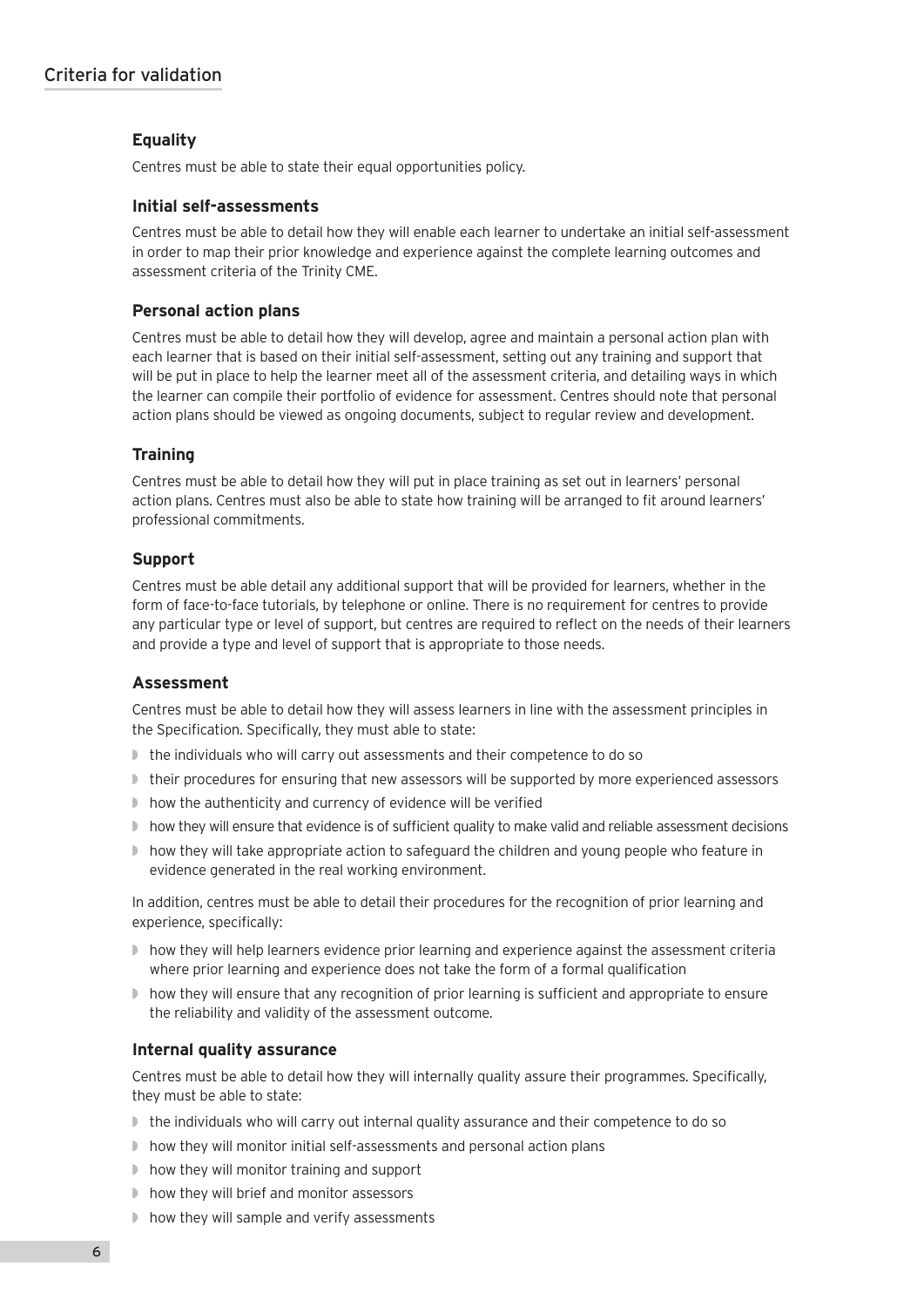## **Equality**

Centres must be able to state their equal opportunities policy.

#### **Initial self-assessments**

Centres must be able to detail how they will enable each learner to undertake an initial self-assessment in order to map their prior knowledge and experience against the complete learning outcomes and assessment criteria of the Trinity CME.

## **Personal action plans**

Centres must be able to detail how they will develop, agree and maintain a personal action plan with each learner that is based on their initial self-assessment, setting out any training and support that will be put in place to help the learner meet all of the assessment criteria, and detailing ways in which the learner can compile their portfolio of evidence for assessment. Centres should note that personal action plans should be viewed as ongoing documents, subject to regular review and development.

#### **Training**

Centres must be able to detail how they will put in place training as set out in learners' personal action plans. Centres must also be able to state how training will be arranged to fit around learners' professional commitments.

#### **Support**

Centres must be able detail any additional support that will be provided for learners, whether in the form of face-to-face tutorials, by telephone or online. There is no requirement for centres to provide any particular type or level of support, but centres are required to reflect on the needs of their learners and provide a type and level of support that is appropriate to those needs.

#### **Assessment**

Centres must be able to detail how they will assess learners in line with the assessment principles in the Specification. Specifically, they must able to state:

- the individuals who will carry out assessments and their competence to do so
- ◗ their procedures for ensuring that new assessors will be supported by more experienced assessors
- ◗ how the authenticity and currency of evidence will be verified
- ◗ how they will ensure that evidence is of sufficient quality to make valid and reliable assessment decisions
- ◗ how they will take appropriate action to safeguard the children and young people who feature in evidence generated in the real working environment.

In addition, centres must be able to detail their procedures for the recognition of prior learning and experience, specifically:

- ◗ how they will help learners evidence prior learning and experience against the assessment criteria where prior learning and experience does not take the form of a formal qualification
- ◗ how they will ensure that any recognition of prior learning is sufficient and appropriate to ensure the reliability and validity of the assessment outcome.

#### **Internal quality assurance**

Centres must be able to detail how they will internally quality assure their programmes. Specifically, they must be able to state:

- ◗ the individuals who will carry out internal quality assurance and their competence to do so
- ◗ how they will monitor initial self-assessments and personal action plans
- ◗ how they will monitor training and support
- ◗ how they will brief and monitor assessors
- ◗ how they will sample and verify assessments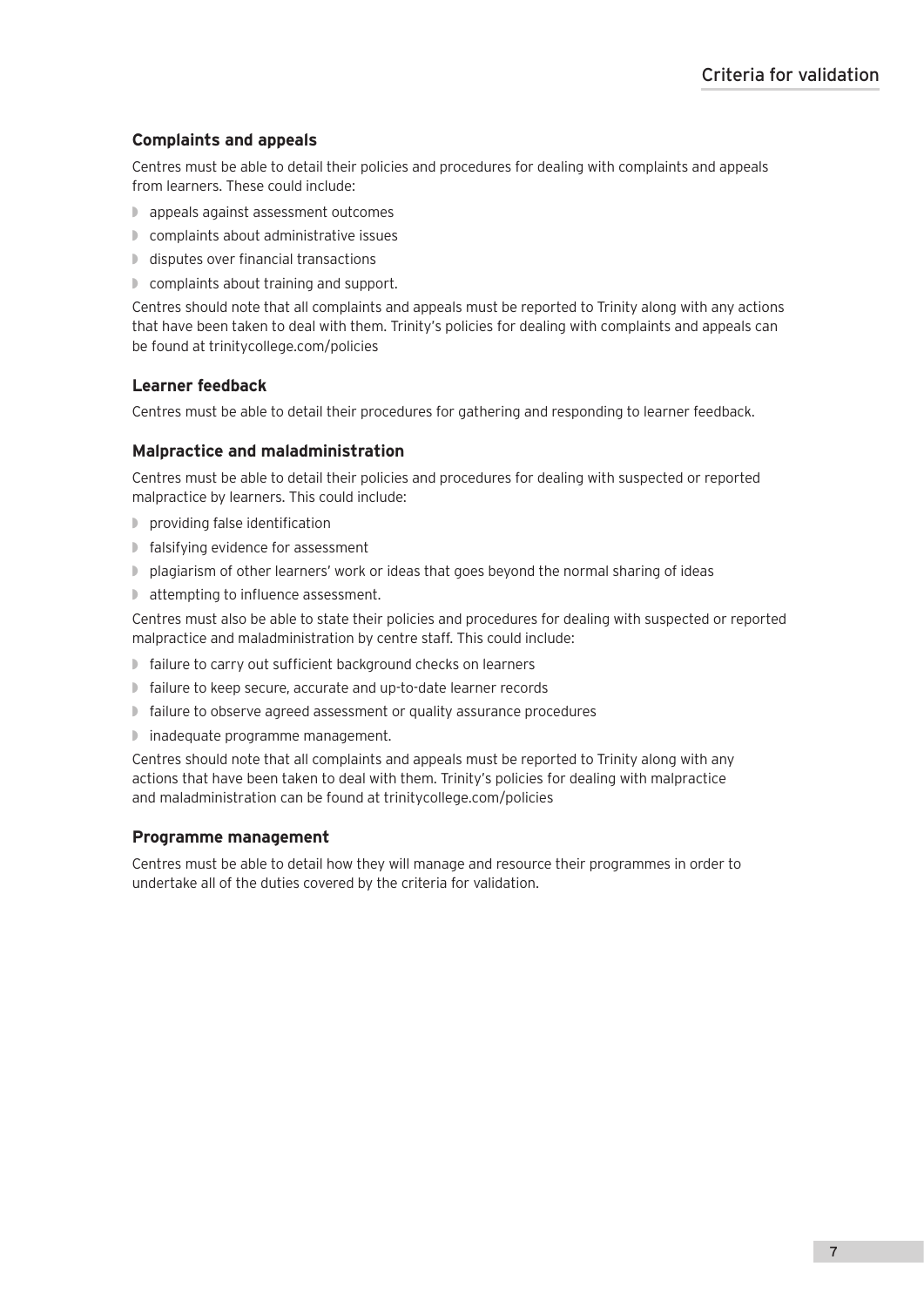# **Complaints and appeals**

Centres must be able to detail their policies and procedures for dealing with complaints and appeals from learners. These could include:

- ◗ appeals against assessment outcomes
- ◗ complaints about administrative issues
- ◗ disputes over financial transactions
- ◗ complaints about training and support.

Centres should note that all complaints and appeals must be reported to Trinity along with any actions that have been taken to deal with them. Trinity's policies for dealing with complaints and appeals can be found at trinitycollege.com/policies

## **Learner feedback**

Centres must be able to detail their procedures for gathering and responding to learner feedback.

## **Malpractice and maladministration**

Centres must be able to detail their policies and procedures for dealing with suspected or reported malpractice by learners. This could include:

- ◗ providing false identification
- ◗ falsifying evidence for assessment
- ◗ plagiarism of other learners' work or ideas that goes beyond the normal sharing of ideas
- ◗ attempting to influence assessment.

Centres must also be able to state their policies and procedures for dealing with suspected or reported malpractice and maladministration by centre staff. This could include:

- ◗ failure to carry out sufficient background checks on learners
- ◗ failure to keep secure, accurate and up-to-date learner records
- ◗ failure to observe agreed assessment or quality assurance procedures
- ◗ inadequate programme management.

Centres should note that all complaints and appeals must be reported to Trinity along with any actions that have been taken to deal with them. Trinity's policies for dealing with malpractice and maladministration can be found at trinitycollege.com/policies

## **Programme management**

Centres must be able to detail how they will manage and resource their programmes in order to undertake all of the duties covered by the criteria for validation.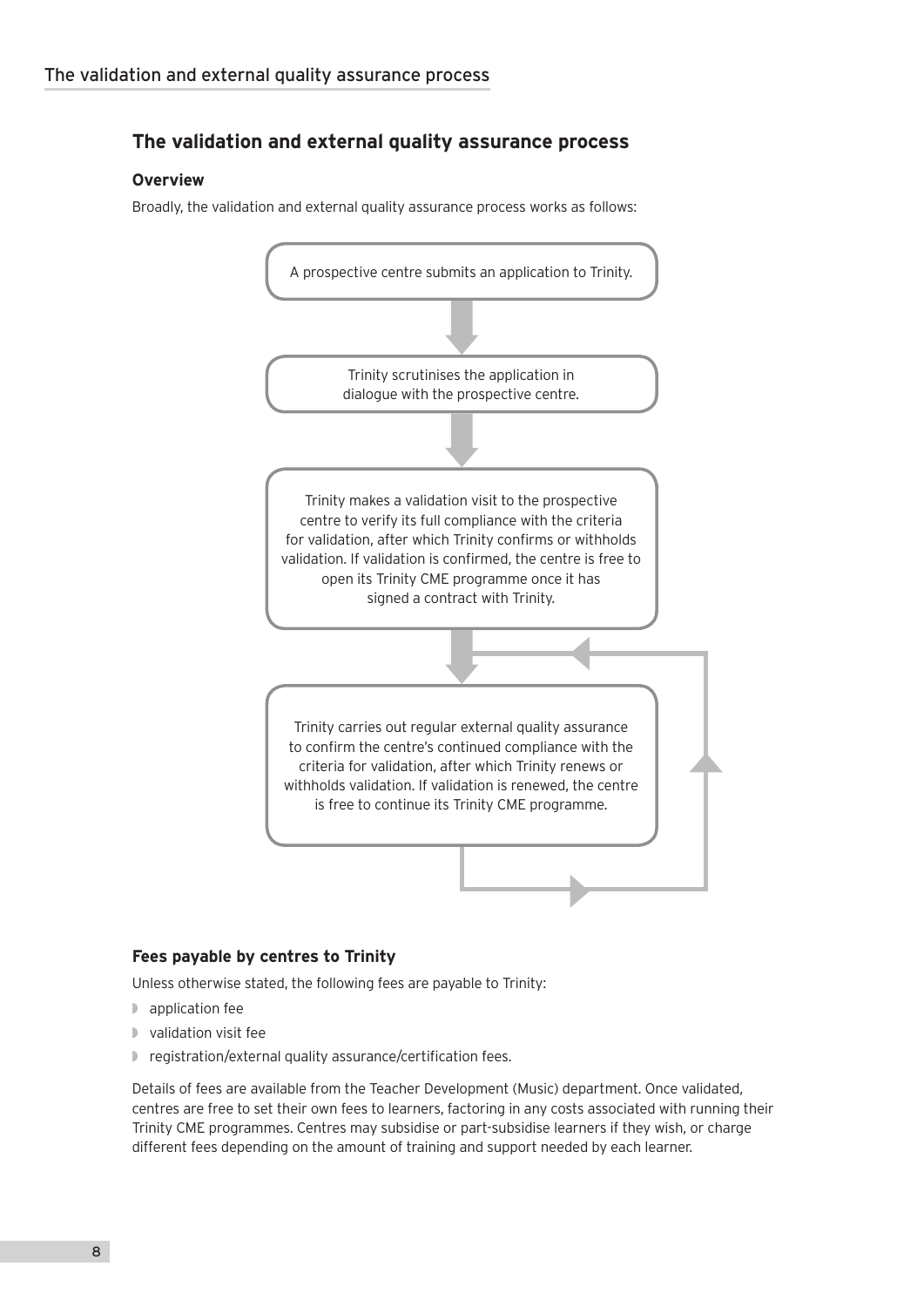# **The validation and external quality assurance process**

## **Overview**

Broadly, the validation and external quality assurance process works as follows:



# **Fees payable by centres to Trinity**

Unless otherwise stated, the following fees are payable to Trinity:

- ◗ application fee
- ◗ validation visit fee
- ◗ registration/external quality assurance/certification fees.

Details of fees are available from the Teacher Development (Music) department. Once validated, centres are free to set their own fees to learners, factoring in any costs associated with running their Trinity CME programmes. Centres may subsidise or part-subsidise learners if they wish, or charge different fees depending on the amount of training and support needed by each learner.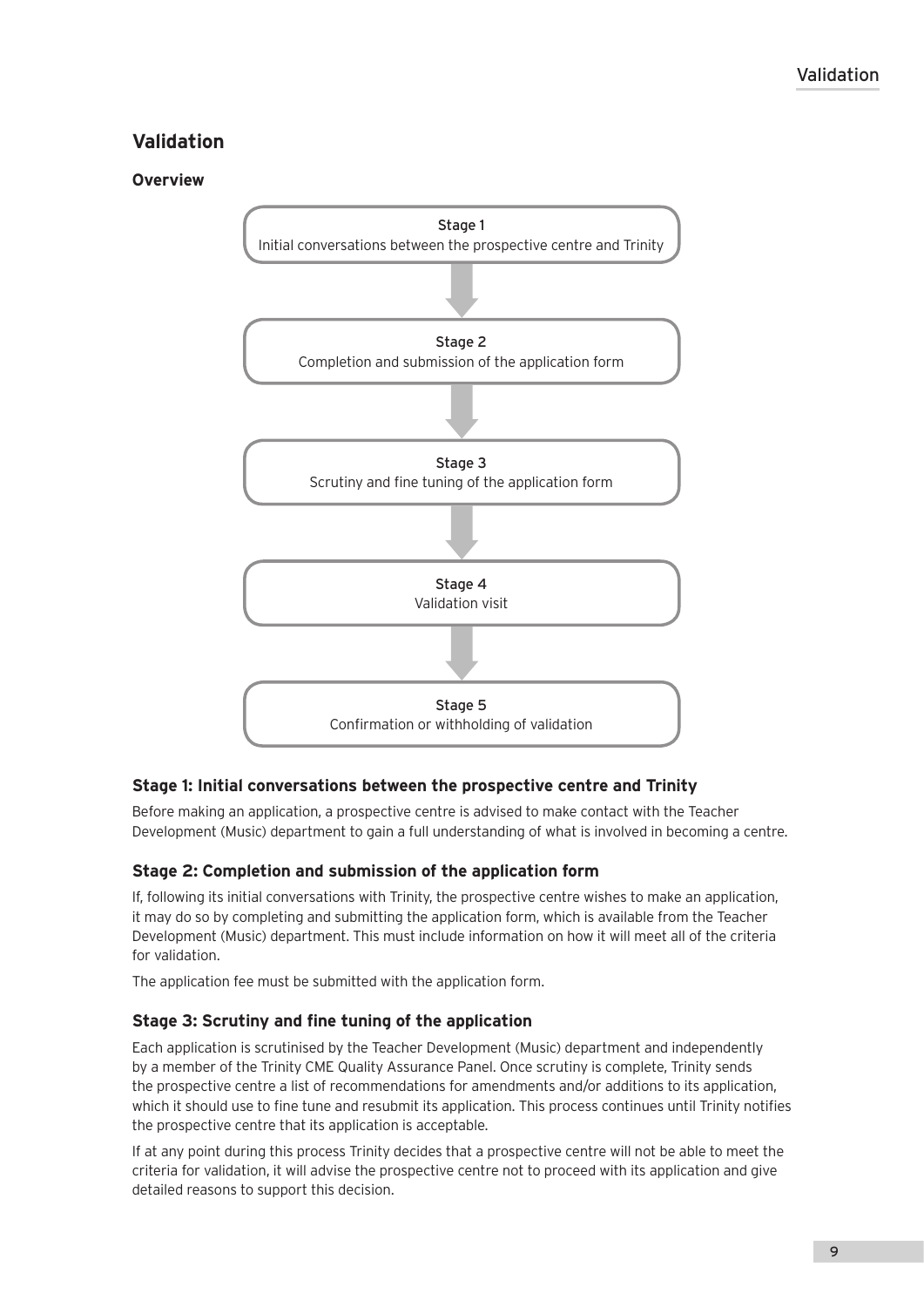# **Validation**

## **Overview**



# **Stage 1: Initial conversations between the prospective centre and Trinity**

Before making an application, a prospective centre is advised to make contact with the Teacher Development (Music) department to gain a full understanding of what is involved in becoming a centre.

## **Stage 2: Completion and submission of the application form**

If, following its initial conversations with Trinity, the prospective centre wishes to make an application, it may do so by completing and submitting the application form, which is available from the Teacher Development (Music) department. This must include information on how it will meet all of the criteria for validation.

The application fee must be submitted with the application form.

## **Stage 3: Scrutiny and fine tuning of the application**

Each application is scrutinised by the Teacher Development (Music) department and independently by a member of the Trinity CME Quality Assurance Panel. Once scrutiny is complete, Trinity sends the prospective centre a list of recommendations for amendments and/or additions to its application, which it should use to fine tune and resubmit its application. This process continues until Trinity notifies the prospective centre that its application is acceptable.

If at any point during this process Trinity decides that a prospective centre will not be able to meet the criteria for validation, it will advise the prospective centre not to proceed with its application and give detailed reasons to support this decision.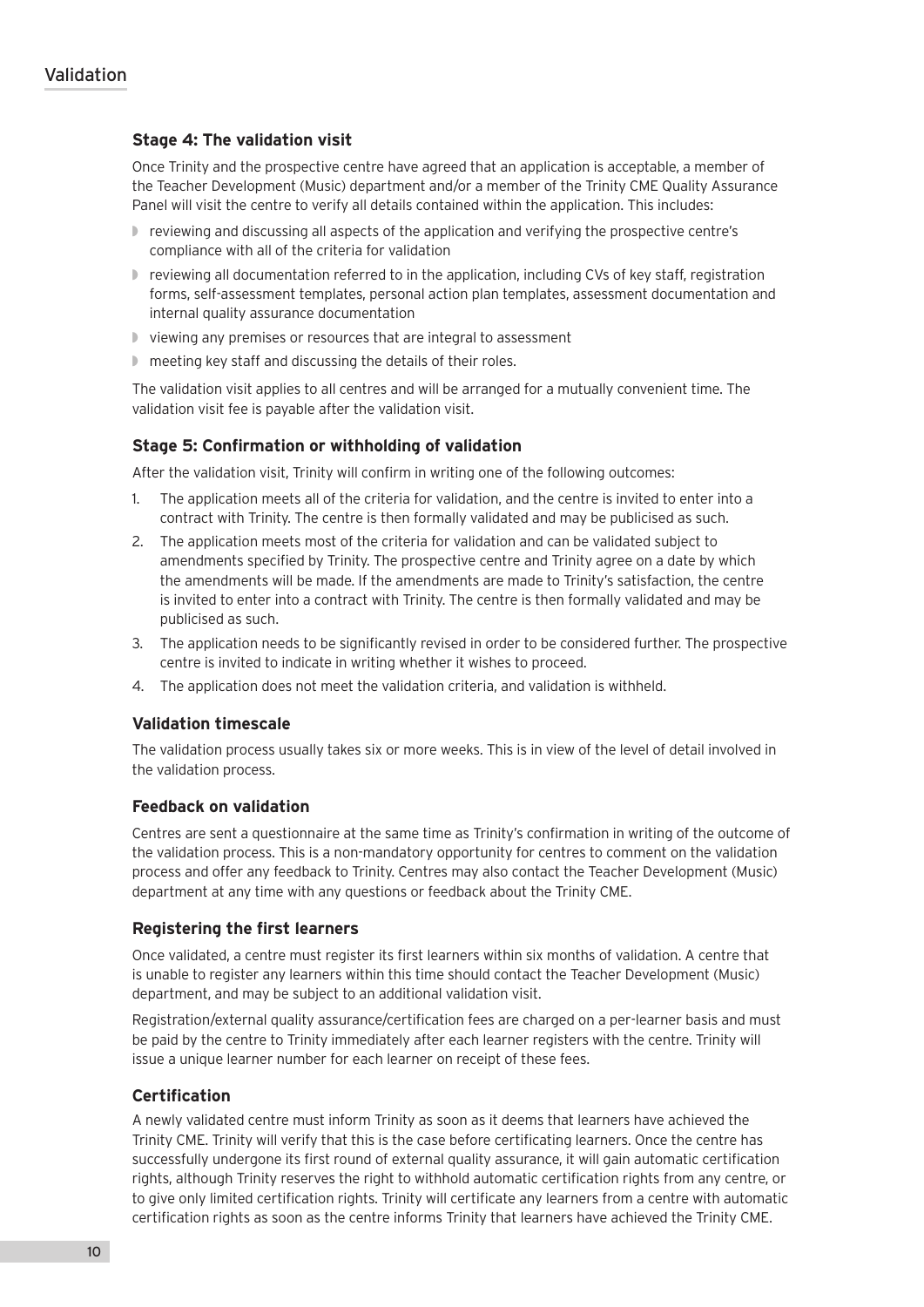## **Stage 4: The validation visit**

Once Trinity and the prospective centre have agreed that an application is acceptable, a member of the Teacher Development (Music) department and/or a member of the Trinity CME Quality Assurance Panel will visit the centre to verify all details contained within the application. This includes:

- ◗ reviewing and discussing all aspects of the application and verifying the prospective centre's compliance with all of the criteria for validation
- ◗ reviewing all documentation referred to in the application, including CVs of key staff, registration forms, self-assessment templates, personal action plan templates, assessment documentation and internal quality assurance documentation
- ◗ viewing any premises or resources that are integral to assessment
- meeting key staff and discussing the details of their roles.

The validation visit applies to all centres and will be arranged for a mutually convenient time. The validation visit fee is payable after the validation visit.

## **Stage 5: Confirmation or withholding of validation**

After the validation visit, Trinity will confirm in writing one of the following outcomes:

- 1. The application meets all of the criteria for validation, and the centre is invited to enter into a contract with Trinity. The centre is then formally validated and may be publicised as such.
- 2. The application meets most of the criteria for validation and can be validated subject to amendments specified by Trinity. The prospective centre and Trinity agree on a date by which the amendments will be made. If the amendments are made to Trinity's satisfaction, the centre is invited to enter into a contract with Trinity. The centre is then formally validated and may be publicised as such.
- 3. The application needs to be significantly revised in order to be considered further. The prospective centre is invited to indicate in writing whether it wishes to proceed.
- 4. The application does not meet the validation criteria, and validation is withheld.

#### **Validation timescale**

The validation process usually takes six or more weeks. This is in view of the level of detail involved in the validation process.

#### **Feedback on validation**

Centres are sent a questionnaire at the same time as Trinity's confirmation in writing of the outcome of the validation process. This is a non-mandatory opportunity for centres to comment on the validation process and offer any feedback to Trinity. Centres may also contact the Teacher Development (Music) department at any time with any questions or feedback about the Trinity CME.

#### **Registering the first learners**

Once validated, a centre must register its first learners within six months of validation. A centre that is unable to register any learners within this time should contact the Teacher Development (Music) department, and may be subject to an additional validation visit.

Registration/external quality assurance/certification fees are charged on a per-learner basis and must be paid by the centre to Trinity immediately after each learner registers with the centre. Trinity will issue a unique learner number for each learner on receipt of these fees.

## **Certification**

A newly validated centre must inform Trinity as soon as it deems that learners have achieved the Trinity CME. Trinity will verify that this is the case before certificating learners. Once the centre has successfully undergone its first round of external quality assurance, it will gain automatic certification rights, although Trinity reserves the right to withhold automatic certification rights from any centre, or to give only limited certification rights. Trinity will certificate any learners from a centre with automatic certification rights as soon as the centre informs Trinity that learners have achieved the Trinity CME.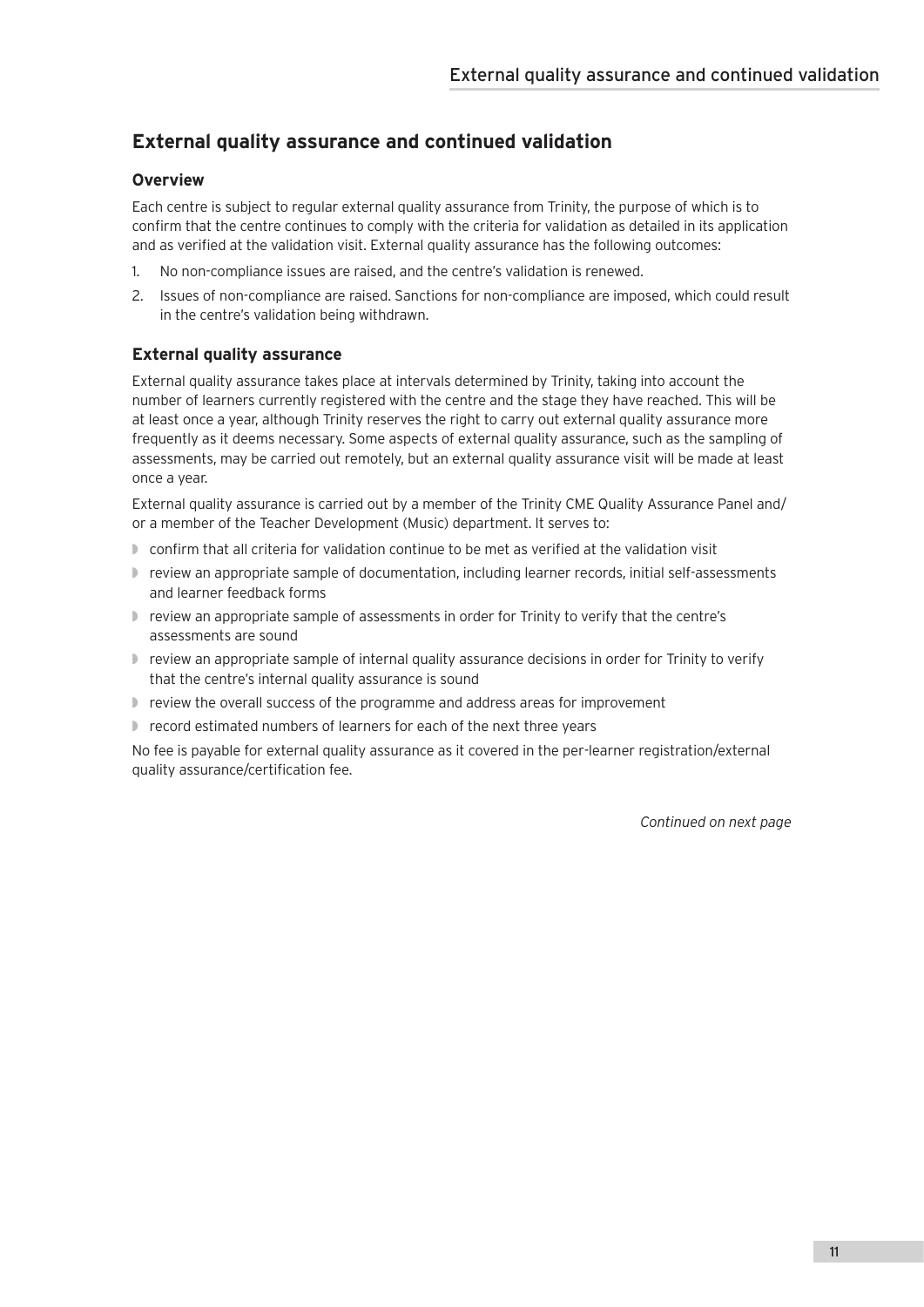# **External quality assurance and continued validation**

# **Overview**

Each centre is subject to regular external quality assurance from Trinity, the purpose of which is to confirm that the centre continues to comply with the criteria for validation as detailed in its application and as verified at the validation visit. External quality assurance has the following outcomes:

- 1. No non-compliance issues are raised, and the centre's validation is renewed.
- 2. Issues of non-compliance are raised. Sanctions for non-compliance are imposed, which could result in the centre's validation being withdrawn.

# **External quality assurance**

External quality assurance takes place at intervals determined by Trinity, taking into account the number of learners currently registered with the centre and the stage they have reached. This will be at least once a year, although Trinity reserves the right to carry out external quality assurance more frequently as it deems necessary. Some aspects of external quality assurance, such as the sampling of assessments, may be carried out remotely, but an external quality assurance visit will be made at least once a year.

External quality assurance is carried out by a member of the Trinity CME Quality Assurance Panel and/ or a member of the Teacher Development (Music) department. It serves to:

- ◗ confirm that all criteria for validation continue to be met as verified at the validation visit
- ◗ review an appropriate sample of documentation, including learner records, initial self-assessments and learner feedback forms
- ◗ review an appropriate sample of assessments in order for Trinity to verify that the centre's assessments are sound
- ◗ review an appropriate sample of internal quality assurance decisions in order for Trinity to verify that the centre's internal quality assurance is sound
- review the overall success of the programme and address areas for improvement
- record estimated numbers of learners for each of the next three years

No fee is payable for external quality assurance as it covered in the per-learner registration/external quality assurance/certification fee.

*Continued on next page*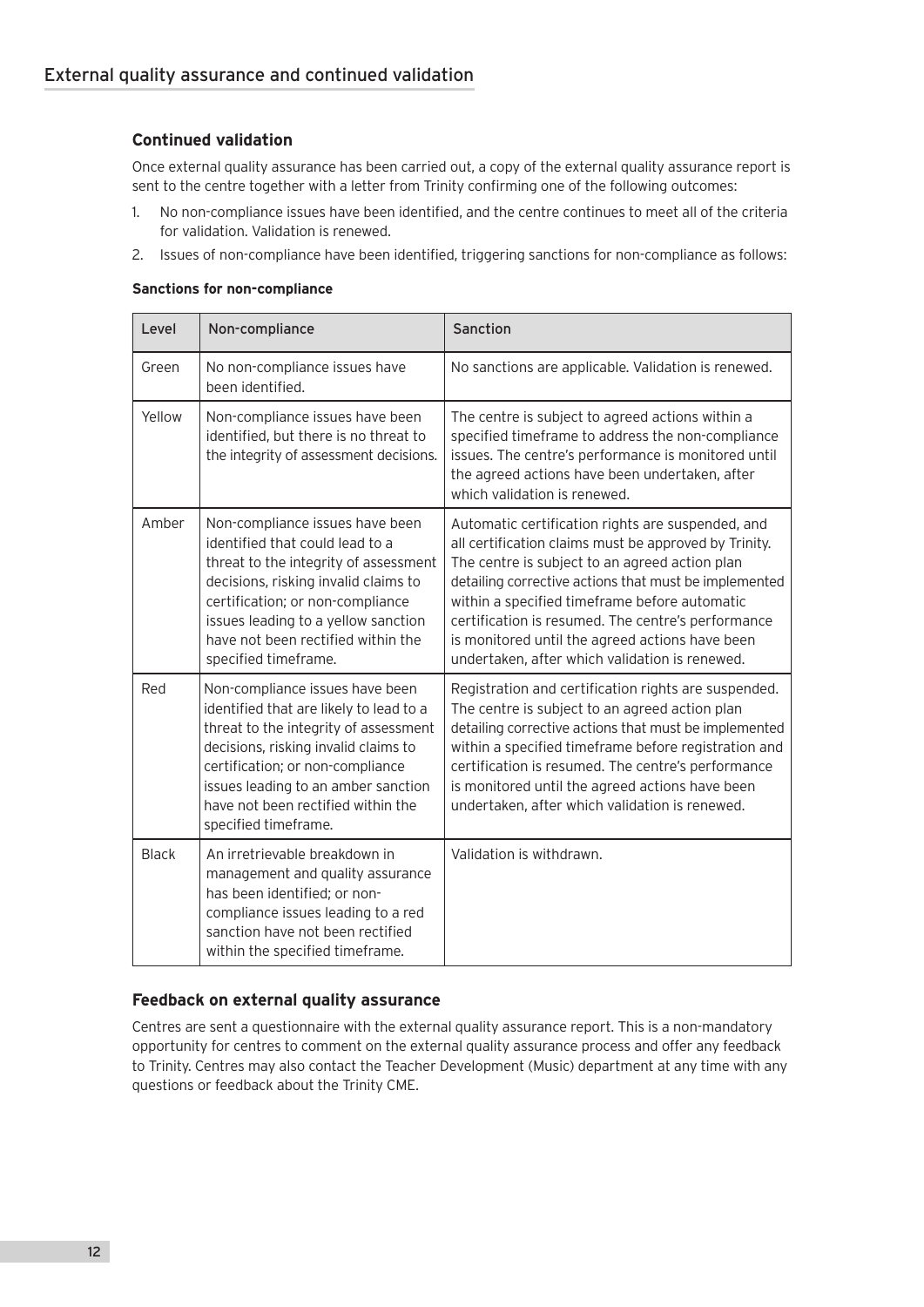# **Continued validation**

Once external quality assurance has been carried out, a copy of the external quality assurance report is sent to the centre together with a letter from Trinity confirming one of the following outcomes:

- 1. No non-compliance issues have been identified, and the centre continues to meet all of the criteria for validation. Validation is renewed.
- 2. Issues of non-compliance have been identified, triggering sanctions for non-compliance as follows:

#### **Sanctions for non-compliance**

| Level        | Non-compliance                                                                                                                                                                                                                                                                                       | Sanction                                                                                                                                                                                                                                                                                                                                                                                                                          |
|--------------|------------------------------------------------------------------------------------------------------------------------------------------------------------------------------------------------------------------------------------------------------------------------------------------------------|-----------------------------------------------------------------------------------------------------------------------------------------------------------------------------------------------------------------------------------------------------------------------------------------------------------------------------------------------------------------------------------------------------------------------------------|
| Green        | No non-compliance issues have<br>been identified.                                                                                                                                                                                                                                                    | No sanctions are applicable. Validation is renewed.                                                                                                                                                                                                                                                                                                                                                                               |
| Yellow       | Non-compliance issues have been<br>identified, but there is no threat to<br>the integrity of assessment decisions.                                                                                                                                                                                   | The centre is subject to agreed actions within a<br>specified timeframe to address the non-compliance<br>issues. The centre's performance is monitored until<br>the agreed actions have been undertaken, after<br>which validation is renewed.                                                                                                                                                                                    |
| Amber        | Non-compliance issues have been<br>identified that could lead to a<br>threat to the integrity of assessment<br>decisions, risking invalid claims to<br>certification; or non-compliance<br>issues leading to a yellow sanction<br>have not been rectified within the<br>specified timeframe.         | Automatic certification rights are suspended, and<br>all certification claims must be approved by Trinity.<br>The centre is subject to an agreed action plan<br>detailing corrective actions that must be implemented<br>within a specified timeframe before automatic<br>certification is resumed. The centre's performance<br>is monitored until the agreed actions have been<br>undertaken, after which validation is renewed. |
| Red          | Non-compliance issues have been<br>identified that are likely to lead to a<br>threat to the integrity of assessment<br>decisions, risking invalid claims to<br>certification; or non-compliance<br>issues leading to an amber sanction<br>have not been rectified within the<br>specified timeframe. | Registration and certification rights are suspended.<br>The centre is subject to an agreed action plan<br>detailing corrective actions that must be implemented<br>within a specified timeframe before registration and<br>certification is resumed. The centre's performance<br>is monitored until the agreed actions have been<br>undertaken, after which validation is renewed.                                                |
| <b>Black</b> | An irretrievable breakdown in<br>management and quality assurance<br>has been identified; or non-<br>compliance issues leading to a red<br>sanction have not been rectified<br>within the specified timeframe.                                                                                       | Validation is withdrawn.                                                                                                                                                                                                                                                                                                                                                                                                          |

## **Feedback on external quality assurance**

Centres are sent a questionnaire with the external quality assurance report. This is a non-mandatory opportunity for centres to comment on the external quality assurance process and offer any feedback to Trinity. Centres may also contact the Teacher Development (Music) department at any time with any questions or feedback about the Trinity CME.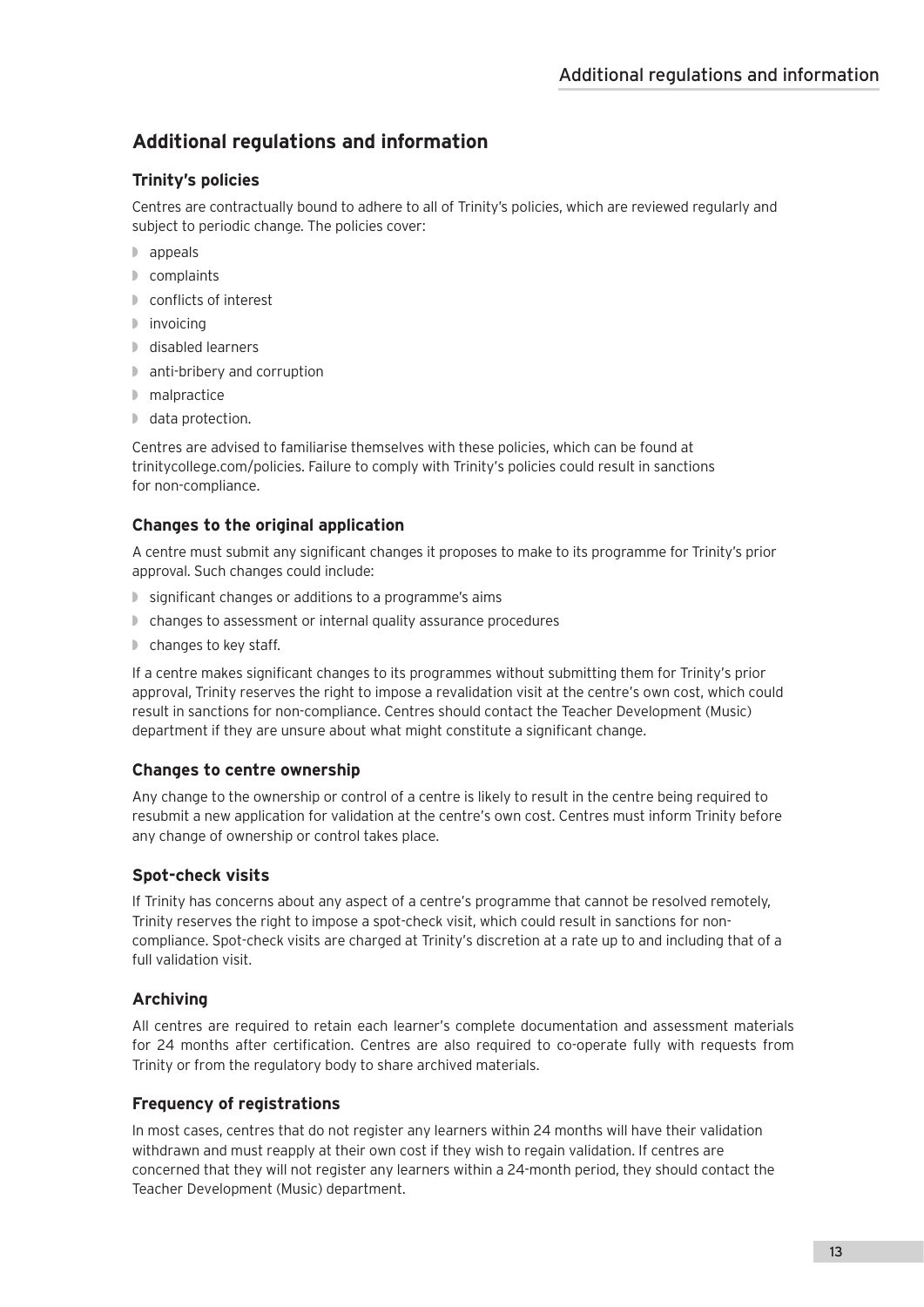# **Additional regulations and information**

# **Trinity's policies**

Centres are contractually bound to adhere to all of Trinity's policies, which are reviewed regularly and subject to periodic change. The policies cover:

- ◗ appeals
- ◗ complaints
- ◗ conflicts of interest
- ◗ invoicing
- ◗ disabled learners
- ◗ anti-bribery and corruption
- ◗ malpractice
- ◗ data protection.

Centres are advised to familiarise themselves with these policies, which can be found at trinitycollege.com/policies. Failure to comply with Trinity's policies could result in sanctions for non-compliance.

# **Changes to the original application**

A centre must submit any significant changes it proposes to make to its programme for Trinity's prior approval. Such changes could include:

- ◗ significant changes or additions to a programme's aims
- ◗ changes to assessment or internal quality assurance procedures
- ◗ changes to key staff.

If a centre makes significant changes to its programmes without submitting them for Trinity's prior approval, Trinity reserves the right to impose a revalidation visit at the centre's own cost, which could result in sanctions for non-compliance. Centres should contact the Teacher Development (Music) department if they are unsure about what might constitute a significant change.

## **Changes to centre ownership**

Any change to the ownership or control of a centre is likely to result in the centre being required to resubmit a new application for validation at the centre's own cost. Centres must inform Trinity before any change of ownership or control takes place.

## **Spot-check visits**

If Trinity has concerns about any aspect of a centre's programme that cannot be resolved remotely, Trinity reserves the right to impose a spot-check visit, which could result in sanctions for noncompliance. Spot-check visits are charged at Trinity's discretion at a rate up to and including that of a full validation visit.

# **Archiving**

All centres are required to retain each learner's complete documentation and assessment materials for 24 months after certification. Centres are also required to co-operate fully with requests from Trinity or from the regulatory body to share archived materials.

# **Frequency of registrations**

In most cases, centres that do not register any learners within 24 months will have their validation withdrawn and must reapply at their own cost if they wish to regain validation. If centres are concerned that they will not register any learners within a 24-month period, they should contact the Teacher Development (Music) department.